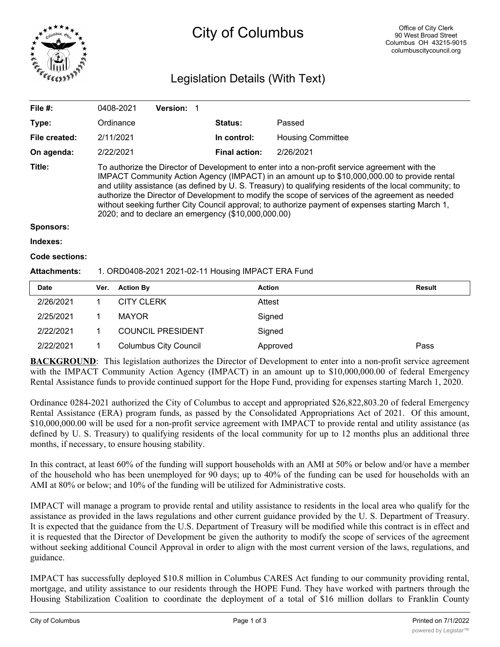

# City of Columbus

## Legislation Details (With Text)

| File $#$ :          | 0408-2021                                                                                                                                                                                                                                                                                                                                                                                                                                                                                                                                                                 | <b>Version:</b> |                      |                          |  |  |
|---------------------|---------------------------------------------------------------------------------------------------------------------------------------------------------------------------------------------------------------------------------------------------------------------------------------------------------------------------------------------------------------------------------------------------------------------------------------------------------------------------------------------------------------------------------------------------------------------------|-----------------|----------------------|--------------------------|--|--|
| Type:               | Ordinance                                                                                                                                                                                                                                                                                                                                                                                                                                                                                                                                                                 |                 | <b>Status:</b>       | Passed                   |  |  |
| File created:       | 2/11/2021                                                                                                                                                                                                                                                                                                                                                                                                                                                                                                                                                                 |                 | In control:          | <b>Housing Committee</b> |  |  |
| On agenda:          | 2/22/2021                                                                                                                                                                                                                                                                                                                                                                                                                                                                                                                                                                 |                 | <b>Final action:</b> | 2/26/2021                |  |  |
| Title:              | To authorize the Director of Development to enter into a non-profit service agreement with the<br>IMPACT Community Action Agency (IMPACT) in an amount up to \$10,000,000.00 to provide rental<br>and utility assistance (as defined by U.S. Treasury) to qualifying residents of the local community; to<br>authorize the Director of Development to modify the scope of services of the agreement as needed<br>without seeking further City Council approval; to authorize payment of expenses starting March 1,<br>2020; and to declare an emergency (\$10,000,000.00) |                 |                      |                          |  |  |
| Sponsors:           |                                                                                                                                                                                                                                                                                                                                                                                                                                                                                                                                                                           |                 |                      |                          |  |  |
| Indexes:            |                                                                                                                                                                                                                                                                                                                                                                                                                                                                                                                                                                           |                 |                      |                          |  |  |
| Code sections:      |                                                                                                                                                                                                                                                                                                                                                                                                                                                                                                                                                                           |                 |                      |                          |  |  |
| <b>Attachments:</b> | 1. ORD0408-2021 2021-02-11 Housing IMPACT ERA Fund                                                                                                                                                                                                                                                                                                                                                                                                                                                                                                                        |                 |                      |                          |  |  |
|                     |                                                                                                                                                                                                                                                                                                                                                                                                                                                                                                                                                                           |                 |                      |                          |  |  |

| <b>Date</b> | Ver. | <b>Action By</b>             | <b>Action</b> | <b>Result</b> |
|-------------|------|------------------------------|---------------|---------------|
| 2/26/2021   |      | <b>CITY CLERK</b>            | Attest        |               |
| 2/25/2021   |      | <b>MAYOR</b>                 | Signed        |               |
| 2/22/2021   |      | <b>COUNCIL PRESIDENT</b>     | Signed        |               |
| 2/22/2021   |      | <b>Columbus City Council</b> | Approved      | Pass          |

**BACKGROUND:** This legislation authorizes the Director of Development to enter into a non-profit service agreement with the IMPACT Community Action Agency (IMPACT) in an amount up to \$10,000,000.00 of federal Emergency Rental Assistance funds to provide continued support for the Hope Fund, providing for expenses starting March 1, 2020.

Ordinance 0284-2021 authorized the City of Columbus to accept and appropriated \$26,822,803.20 of federal Emergency Rental Assistance (ERA) program funds, as passed by the Consolidated Appropriations Act of 2021. Of this amount, \$10,000,000.00 will be used for a non-profit service agreement with IMPACT to provide rental and utility assistance (as defined by U. S. Treasury) to qualifying residents of the local community for up to 12 months plus an additional three months, if necessary, to ensure housing stability.

In this contract, at least 60% of the funding will support households with an AMI at 50% or below and/or have a member of the household who has been unemployed for 90 days; up to 40% of the funding can be used for households with an AMI at 80% or below; and 10% of the funding will be utilized for Administrative costs.

IMPACT will manage a program to provide rental and utility assistance to residents in the local area who qualify for the assistance as provided in the laws regulations and other current guidance provided by the U. S. Department of Treasury. It is expected that the guidance from the U.S. Department of Treasury will be modified while this contract is in effect and it is requested that the Director of Development be given the authority to modify the scope of services of the agreement without seeking additional Council Approval in order to align with the most current version of the laws, regulations, and guidance.

IMPACT has successfully deployed \$10.8 million in Columbus CARES Act funding to our community providing rental, mortgage, and utility assistance to our residents through the HOPE Fund. They have worked with partners through the Housing Stabilization Coalition to coordinate the deployment of a total of \$16 million dollars to Franklin County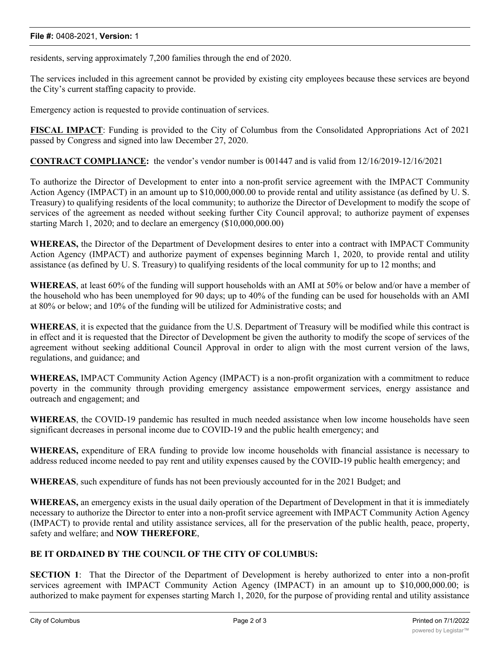#### **File #:** 0408-2021, **Version:** 1

residents, serving approximately 7,200 families through the end of 2020.

The services included in this agreement cannot be provided by existing city employees because these services are beyond the City's current staffing capacity to provide.

Emergency action is requested to provide continuation of services.

**FISCAL IMPACT**: Funding is provided to the City of Columbus from the Consolidated Appropriations Act of 2021 passed by Congress and signed into law December 27, 2020.

**CONTRACT COMPLIANCE:** the vendor's vendor number is 001447 and is valid from 12/16/2019-12/16/2021

To authorize the Director of Development to enter into a non-profit service agreement with the IMPACT Community Action Agency (IMPACT) in an amount up to \$10,000,000.00 to provide rental and utility assistance (as defined by U. S. Treasury) to qualifying residents of the local community; to authorize the Director of Development to modify the scope of services of the agreement as needed without seeking further City Council approval; to authorize payment of expenses starting March 1, 2020; and to declare an emergency (\$10,000,000.00)

**WHEREAS,** the Director of the Department of Development desires to enter into a contract with IMPACT Community Action Agency (IMPACT) and authorize payment of expenses beginning March 1, 2020, to provide rental and utility assistance (as defined by U. S. Treasury) to qualifying residents of the local community for up to 12 months; and

**WHEREAS**, at least 60% of the funding will support households with an AMI at 50% or below and/or have a member of the household who has been unemployed for 90 days; up to 40% of the funding can be used for households with an AMI at 80% or below; and 10% of the funding will be utilized for Administrative costs; and

**WHEREAS**, it is expected that the guidance from the U.S. Department of Treasury will be modified while this contract is in effect and it is requested that the Director of Development be given the authority to modify the scope of services of the agreement without seeking additional Council Approval in order to align with the most current version of the laws, regulations, and guidance; and

**WHEREAS,** IMPACT Community Action Agency (IMPACT) is a non-profit organization with a commitment to reduce poverty in the community through providing emergency assistance empowerment services, energy assistance and outreach and engagement; and

**WHEREAS**, the COVID-19 pandemic has resulted in much needed assistance when low income households have seen significant decreases in personal income due to COVID-19 and the public health emergency; and

**WHEREAS,** expenditure of ERA funding to provide low income households with financial assistance is necessary to address reduced income needed to pay rent and utility expenses caused by the COVID-19 public health emergency; and

**WHEREAS**, such expenditure of funds has not been previously accounted for in the 2021 Budget; and

**WHEREAS,** an emergency exists in the usual daily operation of the Department of Development in that it is immediately necessary to authorize the Director to enter into a non-profit service agreement with IMPACT Community Action Agency (IMPACT) to provide rental and utility assistance services, all for the preservation of the public health, peace, property, safety and welfare; and **NOW THEREFORE**,

### **BE IT ORDAINED BY THE COUNCIL OF THE CITY OF COLUMBUS:**

**SECTION 1**: That the Director of the Department of Development is hereby authorized to enter into a non-profit services agreement with IMPACT Community Action Agency (IMPACT) in an amount up to \$10,000,000.00; is authorized to make payment for expenses starting March 1, 2020, for the purpose of providing rental and utility assistance